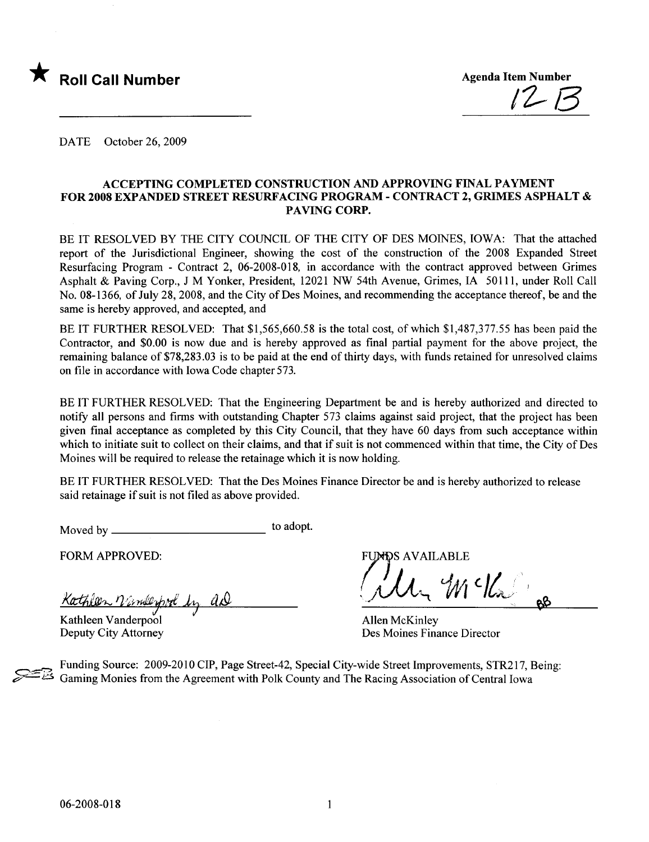

DATE October 26, 2009

#### ACCEPTING COMPLETED CONSTRUCTION AND APPROVING FINAL PAYMENT FOR 2008 EXPANDED STREET RESURFACING PROGRAM - CONTRACT 2, GRIMES ASPHALT & PAVING CORP.

BE IT RESOLVED BY THE CITY COUNCIL OF THE CITY OF DES MOINES, IOWA: That the attached report of the Jurisdictional Engineer, showing the cost of the construction of the 2008 Expanded Street Resurfacing Program - Contract 2, 06-2008-018, in accordance with the contract approved between Grimes Asphalt & Paving Corp., J M Yonker, President, 12021 NW 54th Avenue, Grimes, IA 50111, under Roll Call No. 08-1366, of July 28, 2008, and the City of Des Moines, and recommending the acceptance thereof, be and the same is hereby approved, and accepted, and

BE IT FURTHER RESOLVED: That \$1,565,660.58 is the total cost, of which \$1,487,377.55 has been paid the Contractor, and \$0.00 is now due and is hereby approved as final partial payment for the above project, the remaining balance of \$78,283.03 is to be paid at the end of thirty days, with funds retained for unresolved claims on file in accordance with Iowa Code chapter 573.

BE IT FURTHER RESOLVED: That the Engineering Department be and is hereby authorized and directed to notifY all persons and firms with outstanding Chapter 573 claims against said project, that the project has been given final acceptance as completed by this City Council, that they have 60 days from such acceptance within which to initiate suit to collect on their claims, and that if suit is not commenced within that time, the City of Des Moines will be required to release the retainage which it is now holding.

BE IT FURTHER RESOLVED: That the Des Moines Finance Director be and is hereby authorized to release said retainage if suit is not fied as above provided.

Moved by to adopt.

FORM APPROVED:

Kathleen Virmleypral by aN

Kathleen Vanderpool Deputy City Attorney

**FUNDS AVAILABLE** 

 $m$   $\prime$   $k$  .

Allen McKinley Des Moines Finance Director

Funding Source: 2009-2010 CIP, Page Street-42, Special City-wide Street Improvements, STR217, Being: Gaming Monies from the Agreement with Polk County and The Racing Association of Central Iowa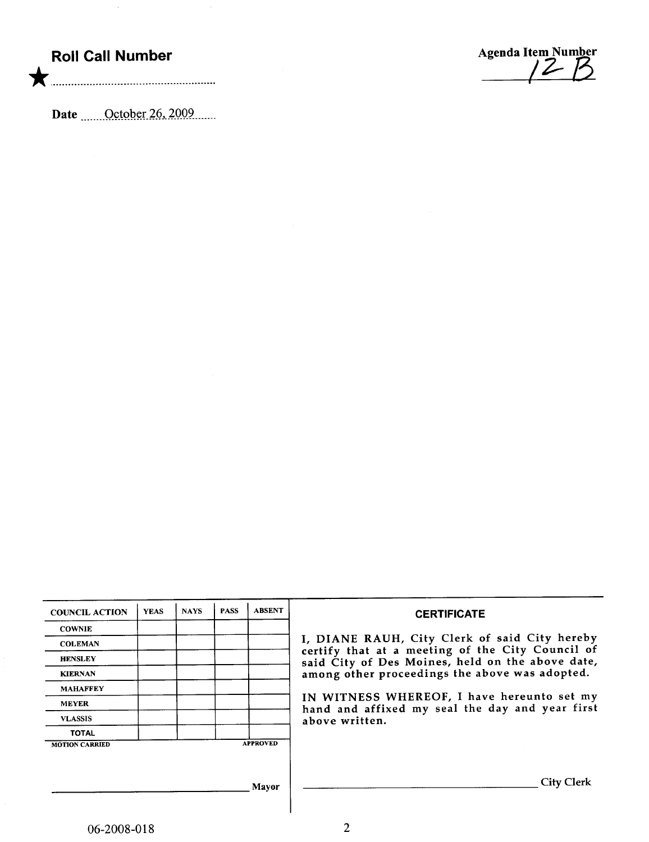## Roll Call Number

\* ................. ....... ................. .............

Agenda Item Number /2- 8

Date  $\frac{\text{October }26,2009}{\text{Center}}$ 

| <b>COUNCIL ACTION</b> | <b>YEAS</b> | <b>NAYS</b> | <b>PASS</b> | <b>ABSENT</b>   | <b>CERTIFICATE</b>                                                                                   |
|-----------------------|-------------|-------------|-------------|-----------------|------------------------------------------------------------------------------------------------------|
| <b>COWNIE</b>         |             |             |             |                 |                                                                                                      |
| <b>COLEMAN</b>        |             |             |             |                 | I, DIANE RAUH, City Clerk of said City hereby                                                        |
| <b>HENSLEY</b>        |             |             |             |                 | certify that at a meeting of the City Council of<br>said City of Des Moines, held on the above date, |
| <b>KIERNAN</b>        |             |             |             |                 | among other proceedings the above was adopted.                                                       |
| <b>MAHAFFEY</b>       |             |             |             |                 |                                                                                                      |
| <b>MEYER</b>          |             |             |             |                 | IN WITNESS WHEREOF, I have hereunto set my<br>hand and affixed my seal the day and year first        |
| <b>VLASSIS</b>        |             |             |             |                 | above written.                                                                                       |
| <b>TOTAL</b>          |             |             |             |                 |                                                                                                      |
| <b>MOTION CARRIED</b> |             |             |             | <b>APPROVED</b> |                                                                                                      |
|                       |             |             |             |                 |                                                                                                      |
|                       |             |             |             |                 | <b>City Clerk</b>                                                                                    |
|                       |             |             |             | Mayor           |                                                                                                      |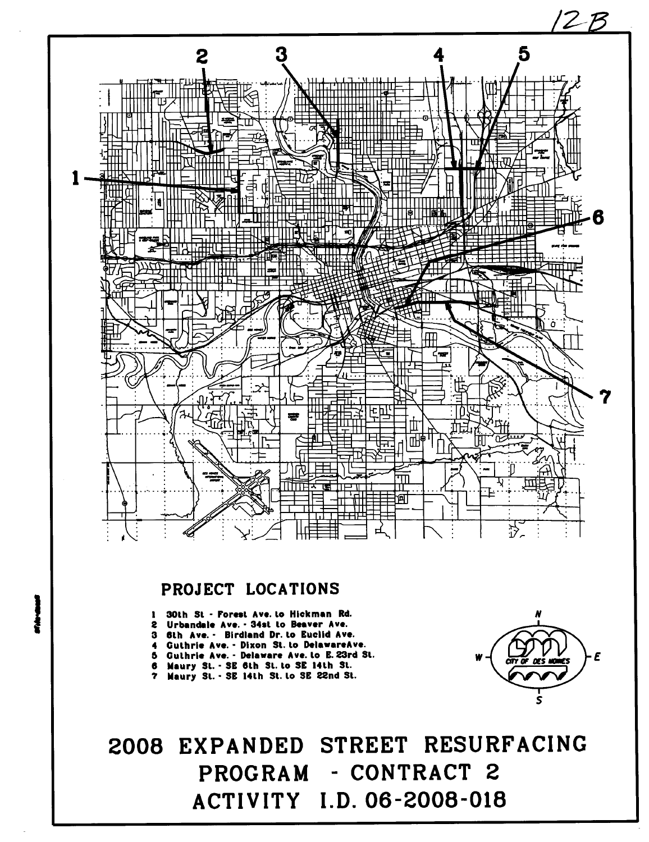

## PROJECT LOCATIONS

- 1 30th St Forest Ave. to Hickman Rd.
- 2 Urbandale Ave. 34st to Beaver Ave.
- 3 6th Ave. Birdland Dr. lo Euclid Ave.<br>4 Guthrie Ave. Dixon St. lo DelawareAv
- Guthrie Ave. Dixon St. to DelawareAve.
- 5 Culhrie Ave. Delaware Ave. to E. 23rd St. 6 Maury St. - SE 6th St. to SE 14th St.
- 
- 7 Maury St. SE 14th St. to SE 22nd St.



# 2008 EXPANDED STREET RESURFACING PROGRAM - CONTRACT 2 ACTIVITY I.D. 06-2008-018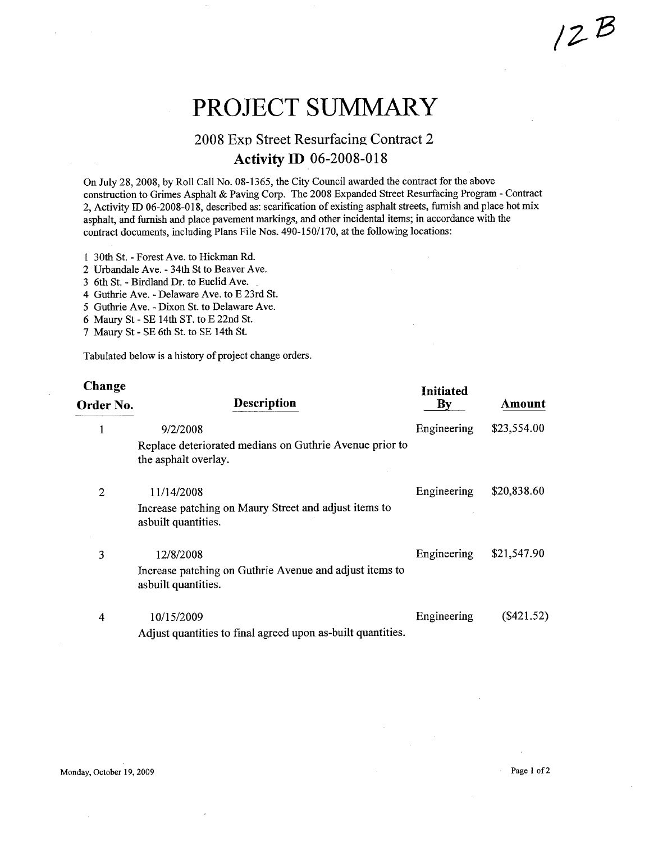# PROJECT SUMMARY

### 2008 Exp Street Resurfacing Contract 2 Activity ID 06-2008-018

On July 28, 2008, by Roll Call No. 08-1365, the City Council awarded the contract for the above construction to Grimes Asphalt & Paving Corp. The 2008 Expanded Street Resurfacing Program - Contract 2, Activity ID 06-2008-018, described as: scarification of existing asphalt streets, furnish and place hot mix asphalt, and furnish and place pavement markings, and other incidental items; in accordance with the contract documents, including Plans File Nos. 490-150/170, at the following locations:

- 1 30th St. Forest Ave. to Hickman Rd.
- 2 Urbandale Ave. 34th St to Beaver Ave.
- 36th St. Birdland Dr. to Euclid Ave.
- 4 Guthrie Ave. Delaware Ave. to E 23rd St.
- 5 Guthrie Ave. Dixon St. to Delaware Ave.
- 6 Maury St SE 14th ST. to E 22nd St.
- 7 Maury St SE 6th St. to SE 14th St.

Tabulated below is a history of project change orders.

| Change<br>Order No. | <b>Description</b>                                                              | <b>Initiated</b><br>By | Amount      |
|---------------------|---------------------------------------------------------------------------------|------------------------|-------------|
| 1                   | 9/2/2008                                                                        | Engineering            | \$23,554.00 |
|                     | Replace deteriorated medians on Guthrie Avenue prior to<br>the asphalt overlay. |                        |             |
| 2                   | 11/14/2008                                                                      | Engineering            | \$20,838.60 |
|                     | Increase patching on Maury Street and adjust items to<br>asbuilt quantities.    |                        |             |
| 3                   | 12/8/2008                                                                       | Engineering            | \$21,547.90 |
|                     | Increase patching on Guthrie Avenue and adjust items to<br>asbuilt quantities.  |                        |             |
| 4                   | 10/15/2009                                                                      | Engineering            | (\$421.52)  |
|                     | Adjust quantities to final agreed upon as-built quantities.                     |                        |             |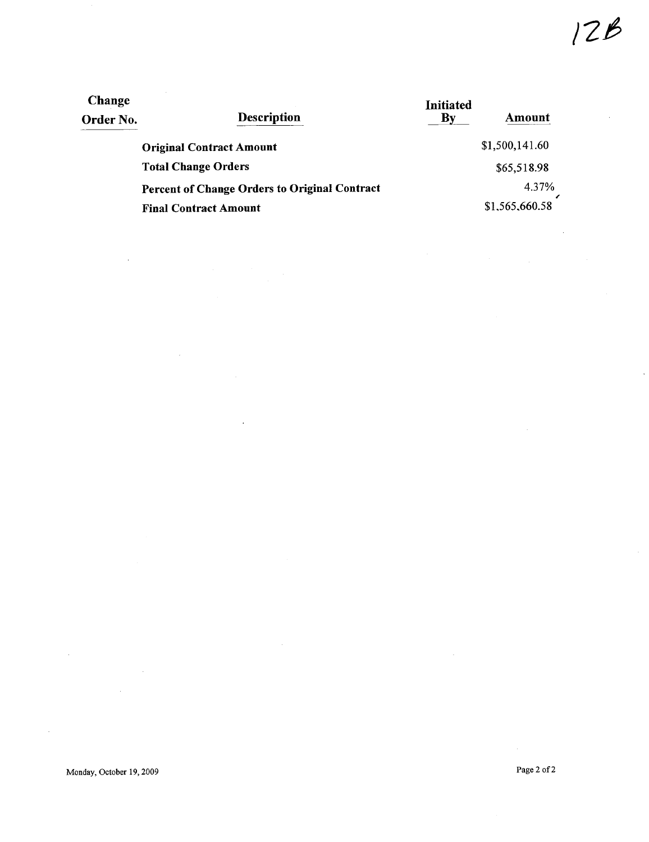| <b>Change</b> |                                                      | <b>Initiated</b> |                |  |  |  |
|---------------|------------------------------------------------------|------------------|----------------|--|--|--|
| Order No.     | <b>Description</b>                                   | Bv               | Amount         |  |  |  |
|               | <b>Original Contract Amount</b>                      |                  | \$1,500,141.60 |  |  |  |
|               | <b>Total Change Orders</b>                           |                  | \$65,518.98    |  |  |  |
|               | <b>Percent of Change Orders to Original Contract</b> |                  | 4.37%          |  |  |  |
|               | <b>Final Contract Amount</b>                         |                  | \$1,565,660.58 |  |  |  |

 $\bar{z}$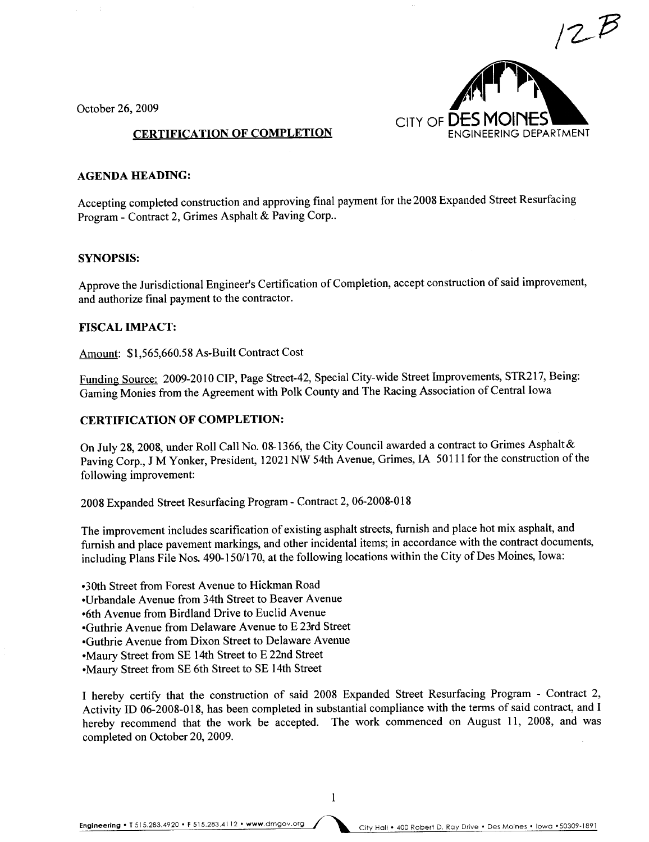$12E$ CITY OF  $DES N$ ENGINEERING DEPARTMENT

October 26, 2009

#### CERTIFICATION OF COMPLETION

#### AGENDA HEADING:

Accepting completed construction and approving final payment for the 2008 Expanded Street Resurfacing Program - Contract 2, Grimes Asphalt & Paving Corp..

#### SYNOPSIS:

Approve the Jurisdictional Engineer's Certification of Completion, accept construction of said improvement, and authorize final payment to the contractor.

#### FISCAL IMPACT:

Amount: \$1,565,660.58 As-Built Contract Cost

Funding Source: 2009-2010 CIP, Page Street-42, Special City-wide Street Improvements, STR217, Being: Gaming Monies from the Agreement with Polk County and The Racing Association of Central Iowa

#### CERTIFICATION OF COMPLETION:

On July 28, 2008, under Roll Call No. 08-1366, the City Council awarded a contract to Grimes Asphalt& Paving Corp., J M Yonker, President, 12021 NW 54th Avenue, Grimes, IA 50111 for the construction of the following improvement:

2008 Expanded Street Resurfacing Program - Contract 2, 06-2008-018

The improvement includes scarification of existing asphalt streets, furnish and place hot mix asphalt, and furnish and place pavement markings, and other incidental items; in accordance with the contract documents, including Plans File Nos. 490-150/170, at the following locations within the City of Des Moines, Iowa:

.3Oth Street from Forest Avenue to Hickman Road

.Urbandale Avenue from 34th Street to Beaver Avenue

.6th Avenue from Birdland Drive to Euclid Avenue

.Guthrie Avenue from Delaware Avenue to E 23rd Street

.Guthrie Avenue from Dixon Street to Delaware Avenue

.Maury Street from SE 14th Street to E 22nd Street

· Maury Street from SE 6th Street to SE 14th Street

I hereby certify that the construction of said 2008 Expanded Street Resurfacing Program - Contract 2, Activity ID 06-2008-018, has been completed in substantial compliance with the terms of said contract, and I hereby recommend that the work be accepted. The work commenced on August 11, 2008, and was completed on October 20, 2009.

1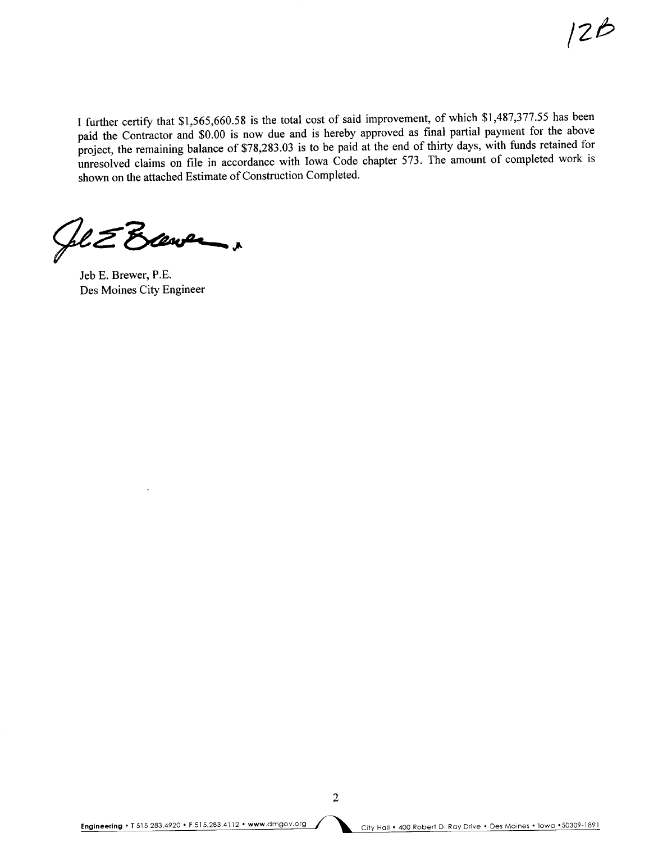I further certify that \$1,565,660.58 is the total cost of said improvement, of which \$1,487,377.55 has been paid the Contractor and \$0.00 is now due and is hereby approved as final partial payment for the above project, the remaining balance of \$78,283.03 is to be paid at the end of thirty days, with funds retained for unresolved claims on file in accordance with Iowa Code chapter 573. The amount of completed work is shown on the attached Estimate of Construction Completed.

 $Q$ le  $Z$  Brever,

Jeb E. Brewer, P.E. Des Moines City Engineer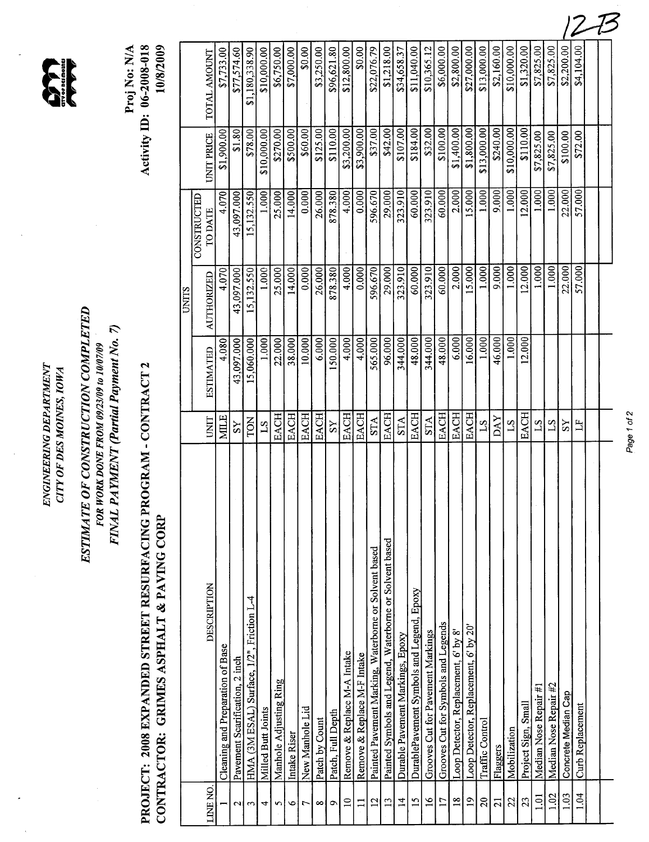CITY OF DES MOINES, IOWA ...<br>CITY OF DES MOINES, IOWA ...<br>OF CONSTRUCTION COMPUTER ... ENGINEERING DEPARTMENT ENGINEERING DEPARTMENT CITY OF DES MOINES, IOWA

 $\sum_{\text{trivors in nontrivial}}$ 



# PROJECT: 2008 EXPANDED STREET RESURFACING PROGRAM - CONTRACT 2 PROJECT: 2008 EXPANDED STREET RESURFACING PROGRAM - CONTRACT 2 CONTRACTOR: GRIMES ASPHALT & PAVING CORP

Proj No: N/A<br>Activity ID: 06-2008-018 Activity ID: 06-2008-018 10/8/2009

|                 | <b>DESCRIPTION</b>                                      | <b>UNIT</b>    | <b>ESTIMATED</b> | AUTHORIZED<br><b>UNITS</b> | <b>CONSTRUCTED</b><br>TO DATE | UNIT PRICE          | TOTAL AMOUNT   |
|-----------------|---------------------------------------------------------|----------------|------------------|----------------------------|-------------------------------|---------------------|----------------|
| <b>LINE NO</b>  |                                                         | <b>MILE</b>    | 4.080            | 4.070                      | 4.070                         | 1,900.00            | \$7,733.00     |
|                 | Cleaning and Preparation of Base                        |                | 43,097.000       | 43,097.000                 | 43,097.000                    | \$1.80              |                |
| N               | Pavement Scarification, 2 inch                          | $\lambda S$    |                  |                            |                               | \$78.00             | \$77,574.60    |
| $\tilde{ }$     | HMA (3M ESAL) Surface, 1/2", Friction L-4               | TON            | 15,060.000       | 15,132.550                 | 15,132.550                    |                     | \$1,180,338.90 |
| 4               | Milled Butt Joints                                      | 51             | 1.000            | 1.000                      | 1.000                         | \$10,000.00         | \$10,000.00    |
| S               | Manhole Adjusting Ring                                  | EACH           | 22.000           | 25.000                     | 25.000                        | \$270.00            | \$6,750.00     |
| ৩               | Intake Riser                                            | EACH           | 38.000           | 14.000                     | 14.000                        | \$500.00            | \$7,000.00     |
| 1               | New Manhole Lid                                         | EACH           | 10.000           | 0.000                      | 0.000                         | \$60.00             | \$0.00         |
| $\infty$        | Patch by Count                                          | <b>EACH</b>    | 6.000            | 26.000                     | 26.000                        | \$125.00            | \$3,250.00     |
| Q               | Patch, Full Depth                                       | $\overline{S}$ | 150.000          | 878.380                    | 878.380                       | \$110.00            | \$96,621.80    |
| $\overline{10}$ | Remove & Replace M-A Intake                             | EACH           | 4.000            | 4.000                      | 4.000                         | \$3,200.00          | \$12,800.00    |
| $\Xi$           | Remove & Replace M-F Intake                             | <b>EACH</b>    | 4.000            | 0.000                      | 0.000                         | \$3,900.00          | \$0.00         |
| $\overline{12}$ | Painted Pavement Marking, Waterborne or Solvent based   | <b>STA</b>     | 565.000          | 596.670                    | 596.670                       | \$37.00             | \$22,076.79    |
| 13              | Painted Symbols and Legend, Waterborne or Solvent based | EACH           | 96.000           | 29.000                     | 29.000                        | \$42.00             | \$1,218.00     |
| $\overline{1}$  | Durable Pavement Markings, Epoxy                        | <b>STA</b>     | 344.000          | 323.910                    | 323.910                       | \$107.00            | \$34,658.37    |
| $\overline{15}$ | DurablePavement Symbols and Legend, Epoxy               | EACH           | 48.000           | 60.000                     | 60.000                        | \$184.00            | \$11,040.00    |
| $\frac{6}{1}$   | Grooves Cut for Pavement Markings                       | <b>STA</b>     | 344.000          | 323.910                    | 323.910                       | \$32.00             | \$10,365.12    |
| $\overline{17}$ | Grooves Cut for Symbols and Legends                     | EACH           | 48.000           | 60.000                     | 60.000                        | \$100.00            | \$6,000.00     |
| $\overline{18}$ | Loop Detector, Replacement, 6' by 8'                    | <b>EACH</b>    | 6.000            | 2.000                      | 2.000                         | \$1,400.00          | \$2,800.00     |
| $\mathbf{a}$    | Loop Detector, Replacement, 6' by 20'                   | <b>EACH</b>    | 16.000           | 15.000                     | 15.000                        | \$1,800.00          | \$27,000.00    |
| $\Omega$        | Traffic Control                                         | $^{21}$        | 1.000            | 1.000                      | 1.000                         | \$13,000.00         | \$13,000.00    |
| $\overline{21}$ | Flaggers                                                | <b>DAY</b>     | 46.000           | 9.000                      | 9.000                         | \$240.00            | \$2,160.00     |
| 22              | Mobilization                                            | $S_{1}$        | 1.000            | 1.000                      | 1.000                         | \$10,000.00         | \$10,000.00    |
| 23              | Project Sign, Small                                     | <b>EACH</b>    | 12.000           | 12.000                     | 12.000                        | $\frac{10000}{\pi}$ | \$1,320.00     |
| 1.01            | Median Nose Repair #1                                   | $^{21}$        |                  | 1.000                      | 1.000                         | \$7,825.00          | \$7,825.00     |
| 1.02            | Median Nose Repair #2                                   | 21             |                  | 1.000                      | 1.000                         | \$7,825.00          | \$7,825.00     |
| 1.03            | Concrete Median Cap                                     | SS             |                  | 22.000                     | 22.000                        | \$100.00            | \$2,200.00     |
| 1.04            | Curb Replacement                                        | $\mathbb{H}$   |                  | 57.000                     | 57.000                        | \$72.00             | \$4,104.00     |
|                 |                                                         |                |                  |                            |                               |                     |                |
|                 |                                                         |                |                  |                            |                               |                     |                |
|                 |                                                         |                |                  |                            |                               |                     |                |

~